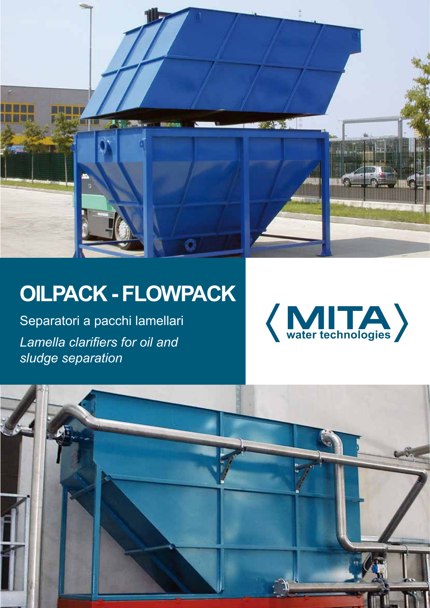

# **oilpack - flowpack**

Separatori a pacchi lamellari *Lamella clarifiers for oil and sludge separation*



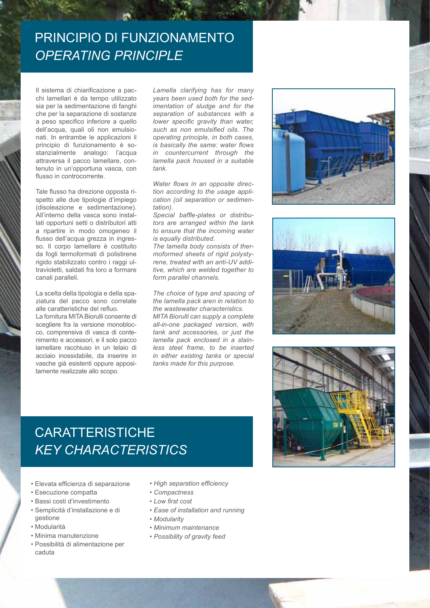#### PRINCIPIO DI FUNZIONAMENTO *Operating principle*

Il sistema di chiarificazione a pacchi lamellari è da tempo utilizzato sia per la sedimentazione di fanghi che per la separazione di sostanze a peso specifico inferiore a quello dell'acqua, quali oli non emulsionati. In entrambe le applicazioni il principio di funzionamento è sostanzialmente analogo: l'acqua attraversa il pacco lamellare, contenuto in un'opportuna vasca, con flusso in controcorrente.

Tale flusso ha direzione opposta rispetto alle due tipologie d'impiego (disoleazione e sedimentazione). All'interno della vasca sono installati opportuni setti o distributori atti a ripartire in modo omogeneo il flusso dell'acqua grezza in ingresso. Il corpo lamellare è costituito da fogli termoformati di polistirene rigido stabilizzato contro i raggi ultravioletti, saldati fra loro a formare canali paralleli.

La scelta della tipologia e della spaziatura del pacco sono correlate alle caratteristiche del refluo. La fornitura MITA Biorulli consente di scegliere fra la versione monoblocco, comprensiva di vasca di contenimento e accessori, e il solo pacco lamellare racchiuso in un telaio di acciaio inossidabile, da inserire in vasche già esistenti oppure appositamente realizzate allo scopo.

*Lamella clarifying has for many years been used both for the sedimentation of sludge and for the separation of substances with a lower specific gravity than water, such as non emulsified oils. The operating principle, in both cases, is basically the same: water flows in countercurrent through the lamella pack housed in a suitable tank.*

*Water flows in an opposite direction according to the usage application (oil separation or sedimentation).*

*Special baffle-plates or distributors are arranged within the tank to ensure that the incoming water is equally distributed.*

*The lamella body consists of thermoformed sheets of rigid polystyrene, treated with an anti-UV additive, which are welded together to form parallel channels.*

*The choice of type and spacing of the lamella pack aren in relation to the wastewater characteristics. MITA Biorulli can supply a complete all-in-one packaged version, with tank and accessories, or just the lamella pack enclosed in a stainless steel frame, to be inserted in either existing tanks or special tanks made for this purpose.*







## **CARATTERISTICHE** *Key characteristics*

- • Elevata efficienza di separazione
- • Esecuzione compatta
- • Bassi costi d'investimento
- • Semplicità d'installazione e di gestione
- • Modularità
- • Minima manutenzione
- • Possibilità di alimentazione per caduta
- *• High separation efficiency*
- *• Compactness*
- *• Low first cost*
- *• Ease of installation and running*
- *• Modularity*
- *• Minimum maintenance*
- *• Possibility of gravity feed*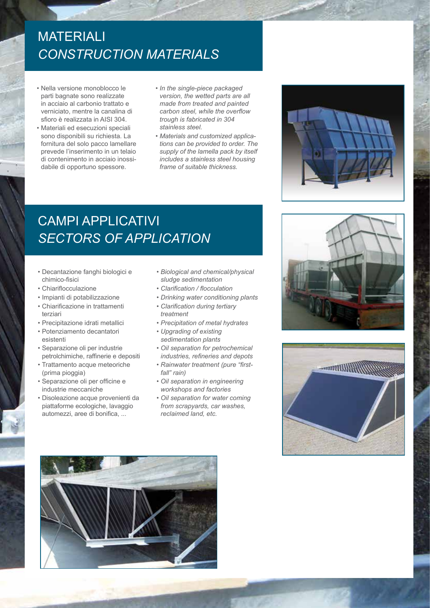### **MATERIALI** *Construction materials*

- • Nella versione monoblocco le parti bagnate sono realizzate in acciaio al carbonio trattato e verniciato, mentre la canalina di sfioro è realizzata in AISI 304.
- • Materiali ed esecuzioni speciali sono disponibili su richiesta. La fornitura del solo pacco lamellare prevede l'inserimento in un telaio di contenimento in acciaio inossidabile di opportuno spessore.
- *• In the single-piece packaged version, the wetted parts are all made from treated and painted carbon steel, while the overflow trough is fabricated in 304 stainless steel.*
- *• Materials and customized applications can be provided to order. The supply of the lamella pack by itself includes a stainless steel housing frame of suitable thickness.*

campi applicativi *Sectors of application*

- • Decantazione fanghi biologici e chimico-fisici
- • Chiariflocculazione
- • Impianti di potabilizzazione
- • Chiarificazione in trattamenti terziari
- • Precipitazione idrati metallici
- • Potenziamento decantatori esistenti
- • Separazione oli per industrie petrolchimiche, raffinerie e depositi
- • Trattamento acque meteoriche (prima pioggia)
- • Separazione oli per officine e industrie meccaniche
- • Disoleazione acque provenienti da piattaforme ecologiche, lavaggio automezzi, aree di bonifica, ...
- *• Biological and chemical/physical sludge sedimentation*
- *• Clarification / flocculation*
- *• Drinking water conditioning plants*
- *• Clarification during tertiary treatment*
- *• Precipitation of metal hydrates*
- *• Upgrading of existing sedimentation plants*
- *Oil separation for petrochemical industries, refineries and depots*
- *Rainwater treatment (pure "firstfall" rain)*
- *Oil separation in engineering workshops and factories*
- *Oil separation for water coming from scrapyards, car washes, reclaimed land, etc.*